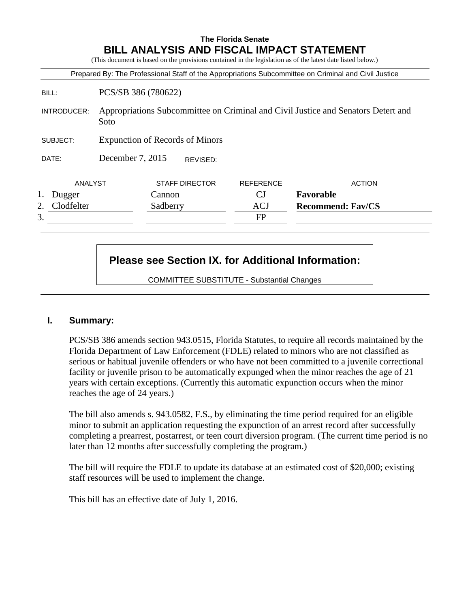## **The Florida Senate BILL ANALYSIS AND FISCAL IMPACT STATEMENT**

(This document is based on the provisions contained in the legislation as of the latest date listed below.)

|             |                                                                                           |                       |                  | Prepared By: The Professional Staff of the Appropriations Subcommittee on Criminal and Civil Justice |
|-------------|-------------------------------------------------------------------------------------------|-----------------------|------------------|------------------------------------------------------------------------------------------------------|
| BILL:       | PCS/SB 386 (780622)                                                                       |                       |                  |                                                                                                      |
| INTRODUCER: | Appropriations Subcommittee on Criminal and Civil Justice and Senators Detert and<br>Soto |                       |                  |                                                                                                      |
| SUBJECT:    | <b>Expunction of Records of Minors</b>                                                    |                       |                  |                                                                                                      |
| DATE:       | December 7, 2015                                                                          | REVISED:              |                  |                                                                                                      |
| ANALYST     |                                                                                           | <b>STAFF DIRECTOR</b> | <b>REFERENCE</b> | <b>ACTION</b>                                                                                        |
| Dugger      |                                                                                           | Cannon                | <b>CJ</b>        | Favorable                                                                                            |
| Clodfelter  |                                                                                           | Sadberry              | <b>ACJ</b>       | <b>Recommend: Fav/CS</b>                                                                             |
| 3.          |                                                                                           |                       | <b>FP</b>        |                                                                                                      |

# **Please see Section IX. for Additional Information:**

COMMITTEE SUBSTITUTE - Substantial Changes

#### **I. Summary:**

PCS/SB 386 amends section 943.0515, Florida Statutes, to require all records maintained by the Florida Department of Law Enforcement (FDLE) related to minors who are not classified as serious or habitual juvenile offenders or who have not been committed to a juvenile correctional facility or juvenile prison to be automatically expunged when the minor reaches the age of 21 years with certain exceptions. (Currently this automatic expunction occurs when the minor reaches the age of 24 years.)

The bill also amends s. 943.0582, F.S., by eliminating the time period required for an eligible minor to submit an application requesting the expunction of an arrest record after successfully completing a prearrest, postarrest, or teen court diversion program. (The current time period is no later than 12 months after successfully completing the program.)

The bill will require the FDLE to update its database at an estimated cost of \$20,000; existing staff resources will be used to implement the change.

This bill has an effective date of July 1, 2016.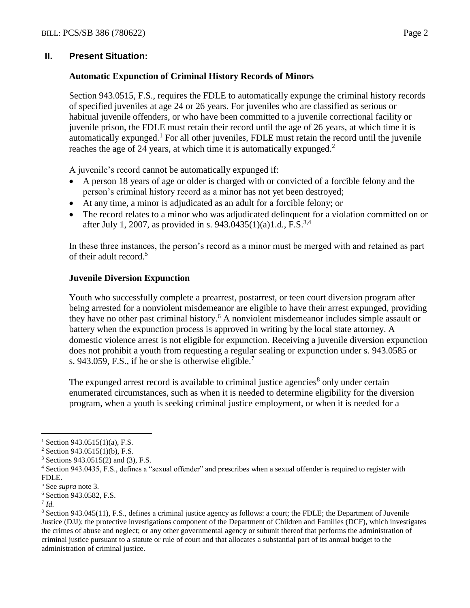## **II. Present Situation:**

### **Automatic Expunction of Criminal History Records of Minors**

Section 943.0515, F.S., requires the FDLE to automatically expunge the criminal history records of specified juveniles at age 24 or 26 years. For juveniles who are classified as serious or habitual juvenile offenders, or who have been committed to a juvenile correctional facility or juvenile prison, the FDLE must retain their record until the age of 26 years, at which time it is automatically expunged.<sup>1</sup> For all other juveniles, FDLE must retain the record until the juvenile reaches the age of 24 years, at which time it is automatically expunged.<sup>2</sup>

A juvenile's record cannot be automatically expunged if:

- A person 18 years of age or older is charged with or convicted of a forcible felony and the person's criminal history record as a minor has not yet been destroyed;
- At any time, a minor is adjudicated as an adult for a forcible felony; or
- The record relates to a minor who was adjudicated delinquent for a violation committed on or after July 1, 2007, as provided in s. 943.0435(1)(a)1.d., F.S.<sup>3,4</sup>

In these three instances, the person's record as a minor must be merged with and retained as part of their adult record.<sup>5</sup>

### **Juvenile Diversion Expunction**

Youth who successfully complete a prearrest, postarrest, or teen court diversion program after being arrested for a nonviolent misdemeanor are eligible to have their arrest expunged, providing they have no other past criminal history.<sup>6</sup> A nonviolent misdemeanor includes simple assault or battery when the expunction process is approved in writing by the local state attorney. A domestic violence arrest is not eligible for expunction. Receiving a juvenile diversion expunction does not prohibit a youth from requesting a regular sealing or expunction under s. 943.0585 or s. 943.059, F.S., if he or she is otherwise eligible.<sup>7</sup>

The expunged arrest record is available to criminal justice agencies<sup>8</sup> only under certain enumerated circumstances, such as when it is needed to determine eligibility for the diversion program, when a youth is seeking criminal justice employment, or when it is needed for a

 $\overline{a}$ 

<sup>&</sup>lt;sup>1</sup> Section 943.0515(1)(a), F.S.

<sup>2</sup> Section 943.0515(1)(b), F.S.

<sup>3</sup> Sections 943.0515(2) and (3), F.S.

<sup>4</sup> Section 943.0435, F.S., defines a "sexual offender" and prescribes when a sexual offender is required to register with FDLE.

<sup>5</sup> See *supra* note 3*.*

<sup>6</sup> Section 943.0582, F.S.

<sup>7</sup> *Id.*

<sup>8</sup> Section 943.045(11), F.S., defines a criminal justice agency as follows: a court; the FDLE; the Department of Juvenile Justice (DJJ); the protective investigations component of the Department of Children and Families (DCF), which investigates the crimes of abuse and neglect; or any other governmental agency or subunit thereof that performs the administration of criminal justice pursuant to a statute or rule of court and that allocates a substantial part of its annual budget to the administration of criminal justice.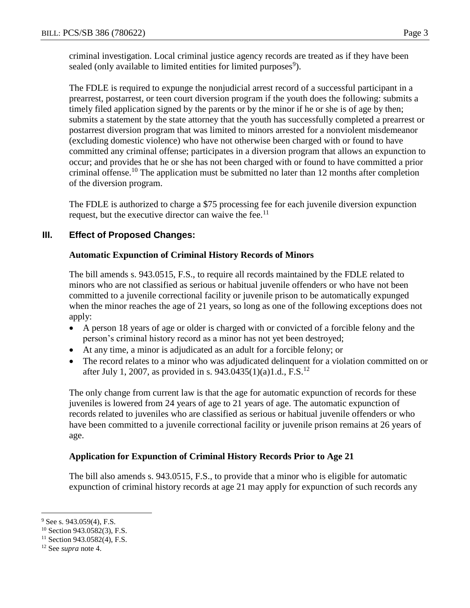criminal investigation. Local criminal justice agency records are treated as if they have been sealed (only available to limited entities for limited purposes<sup>9</sup>).

The FDLE is required to expunge the nonjudicial arrest record of a successful participant in a prearrest, postarrest, or teen court diversion program if the youth does the following: submits a timely filed application signed by the parents or by the minor if he or she is of age by then; submits a statement by the state attorney that the youth has successfully completed a prearrest or postarrest diversion program that was limited to minors arrested for a nonviolent misdemeanor (excluding domestic violence) who have not otherwise been charged with or found to have committed any criminal offense; participates in a diversion program that allows an expunction to occur; and provides that he or she has not been charged with or found to have committed a prior criminal offense.<sup>10</sup> The application must be submitted no later than 12 months after completion of the diversion program.

The FDLE is authorized to charge a \$75 processing fee for each juvenile diversion expunction request, but the executive director can waive the fee.<sup>11</sup>

# **III. Effect of Proposed Changes:**

## **Automatic Expunction of Criminal History Records of Minors**

The bill amends s. 943.0515, F.S., to require all records maintained by the FDLE related to minors who are not classified as serious or habitual juvenile offenders or who have not been committed to a juvenile correctional facility or juvenile prison to be automatically expunged when the minor reaches the age of 21 years, so long as one of the following exceptions does not apply:

- A person 18 years of age or older is charged with or convicted of a forcible felony and the person's criminal history record as a minor has not yet been destroyed;
- At any time, a minor is adjudicated as an adult for a forcible felony; or
- The record relates to a minor who was adjudicated delinquent for a violation committed on or after July 1, 2007, as provided in s. 943.0435(1)(a)1.d., F.S.<sup>12</sup>

The only change from current law is that the age for automatic expunction of records for these juveniles is lowered from 24 years of age to 21 years of age. The automatic expunction of records related to juveniles who are classified as serious or habitual juvenile offenders or who have been committed to a juvenile correctional facility or juvenile prison remains at 26 years of age.

## **Application for Expunction of Criminal History Records Prior to Age 21**

The bill also amends s. 943.0515, F.S., to provide that a minor who is eligible for automatic expunction of criminal history records at age 21 may apply for expunction of such records any

 $\overline{a}$  $9$  See s. 943.059(4), F.S.

<sup>10</sup> Section 943.0582(3), F.S.

<sup>&</sup>lt;sup>11</sup> Section 943.0582(4), F.S.

<sup>12</sup> See *supra* note 4.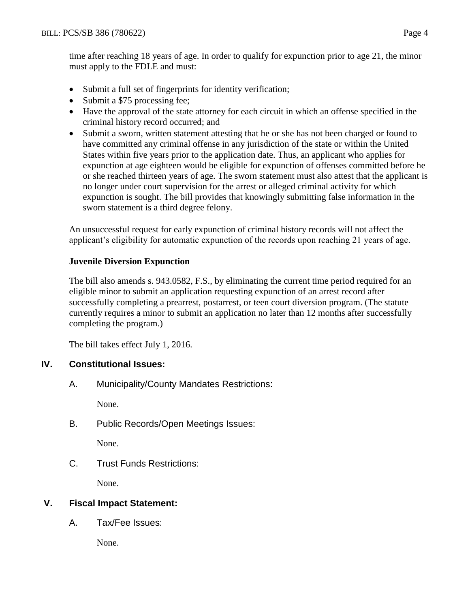time after reaching 18 years of age. In order to qualify for expunction prior to age 21, the minor must apply to the FDLE and must:

- Submit a full set of fingerprints for identity verification;
- Submit a \$75 processing fee;
- Have the approval of the state attorney for each circuit in which an offense specified in the criminal history record occurred; and
- Submit a sworn, written statement attesting that he or she has not been charged or found to have committed any criminal offense in any jurisdiction of the state or within the United States within five years prior to the application date. Thus, an applicant who applies for expunction at age eighteen would be eligible for expunction of offenses committed before he or she reached thirteen years of age. The sworn statement must also attest that the applicant is no longer under court supervision for the arrest or alleged criminal activity for which expunction is sought. The bill provides that knowingly submitting false information in the sworn statement is a third degree felony.

An unsuccessful request for early expunction of criminal history records will not affect the applicant's eligibility for automatic expunction of the records upon reaching 21 years of age.

## **Juvenile Diversion Expunction**

The bill also amends s. 943.0582, F.S., by eliminating the current time period required for an eligible minor to submit an application requesting expunction of an arrest record after successfully completing a prearrest, postarrest, or teen court diversion program. (The statute currently requires a minor to submit an application no later than 12 months after successfully completing the program.)

The bill takes effect July 1, 2016.

# **IV. Constitutional Issues:**

A. Municipality/County Mandates Restrictions:

None.

B. Public Records/Open Meetings Issues:

None.

C. Trust Funds Restrictions:

None.

# **V. Fiscal Impact Statement:**

A. Tax/Fee Issues:

None.